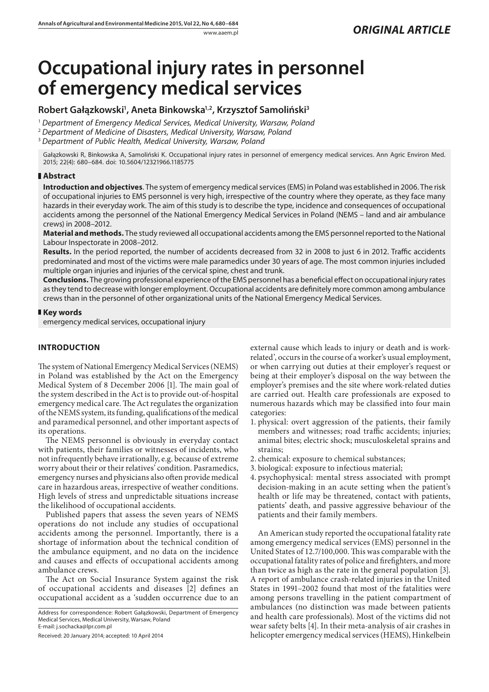# **Occupational injury rates in personnel of emergency medical services**

## **Robert Gałązkowski1 , Aneta Binkowska1,2, Krzysztof Samoliński3**

<sup>1</sup> *Department of Emergency Medical Services, Medical University, Warsaw, Poland*

<sup>2</sup> *Department of Medicine of Disasters, Medical University, Warsaw, Poland*

<sup>3</sup> *Department of Public Health, Medical University, Warsaw, Poland*

Gałązkowski R, Binkowska A, Samoliński K. Occupational injury rates in personnel of emergency medical services. Ann Agric Environ Med. 2015; 22(4): 680–684. doi: 10.5604/12321966.1185775

## **Abstract**

**Introduction and objectives**. The system of emergency medical services (EMS) in Poland was established in 2006. The risk of occupational injuries to EMS personnel is very high, irrespective of the country where they operate, as they face many hazards in their everyday work. The aim of this study is to describe the type, incidence and consequences of occupational accidents among the personnel of the National Emergency Medical Services in Poland (NEMS – land and air ambulance crews) in 2008–2012.

**Material and methods.** The study reviewed all occupational accidents among the EMS personnel reported to the National Labour Inspectorate in 2008–2012.

**Results.** In the period reported, the number of accidents decreased from 32 in 2008 to just 6 in 2012. Traffic accidents predominated and most of the victims were male paramedics under 30 years of age. The most common injuries included multiple organ injuries and injuries of the cervical spine, chest and trunk.

**Conclusions.** The growing professional experience of the EMS personnel has a beneficial effect on occupational injury rates as they tend to decrease with longer employment. Occupational accidents are definitely more common among ambulance crews than in the personnel of other organizational units of the National Emergency Medical Services.

## **Key words**

emergency medical services, occupational injury

## **INTRODUCTION**

The system of National Emergency Medical Services (NEMS) in Poland was established by the Act on the Emergency Medical System of 8 December 2006 [1]. The main goal of the system described in the Act is to provide out-of-hospital emergency medical care. The Act regulates the organization of the NEMS system, its funding, qualifications of the medical and paramedical personnel, and other important aspects of its operations.

The NEMS personnel is obviously in everyday contact with patients, their families or witnesses of incidents, who not infrequently behave irrationally, e.g. because of extreme worry about their or their relatives' condition. Pasramedics, emergency nurses and physicians also often provide medical care in hazardous areas, irrespective of weather conditions. High levels of stress and unpredictable situations increase the likelihood of occupational accidents.

Published papers that assess the seven years of NEMS operations do not include any studies of occupational accidents among the personnel. Importantly, there is a shortage of information about the technical condition of the ambulance equipment, and no data on the incidence and causes and effects of occupational accidents among ambulance crews.

The Act on Social Insurance System against the risk of occupational accidents and diseases [2] defines an occupational accident as a 'sudden occurrence due to an

Received: 20 January 2014; accepted: 10 April 2014

external cause which leads to injury or death and is workrelated', occurs in the course of a worker's usual employment, or when carrying out duties at their employer's request or being at their employer's disposal on the way between the employer's premises and the site where work-related duties are carried out. Health care professionals are exposed to numerous hazards which may be classified into four main categories:

- 1. physical: overt aggression of the patients, their family members and witnesses; road traffic accidents; injuries; animal bites; electric shock; musculoskeletal sprains and strains;
- 2. chemical: exposure to chemical substances;
- 3. biological: exposure to infectious material;
- 4. psychophysical: mental stress associated with prompt decision-making in an acute setting when the patient's health or life may be threatened, contact with patients, patients' death, and passive aggressive behaviour of the patients and their family members.

An American study reported the occupational fatality rate among emergency medical services (EMS) personnel in the United States of 12.7/100,000. This was comparable with the occupational fatality rates of police and firefighters, and more than twice as high as the rate in the general population [3]. A report of ambulance crash-related injuries in the United States in 1991–2002 found that most of the fatalities were among persons travelling in the patient compartment of ambulances (no distinction was made between patients and health care professionals). Most of the victims did not wear safety belts [4]. In their meta-analysis of air crashes in helicopter emergency medical services (HEMS), Hinkelbein

Address for correspondence: Robert Gałązkowski, Department of Emergency Medical Services, Medical University, Warsaw, Poland E-mail: j.sochacka@lpr.com.pl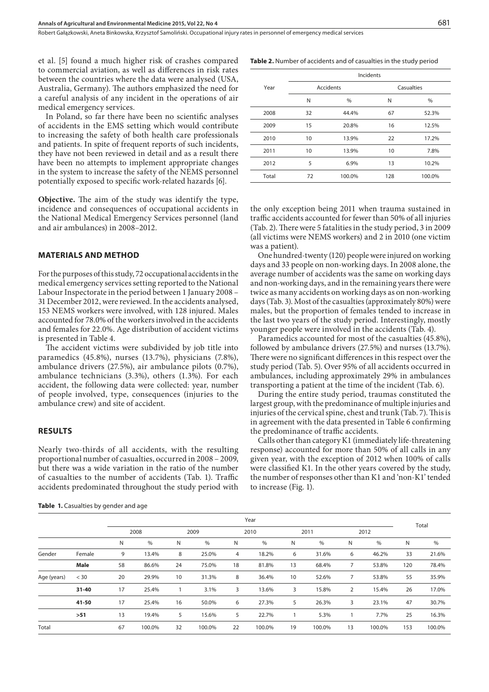et al. [5] found a much higher risk of crashes compared to commercial aviation, as well as differences in risk rates between the countries where the data were analysed (USA, Australia, Germany). The authors emphasized the need for a careful analysis of any incident in the operations of air medical emergency services.

In Poland, so far there have been no scientific analyses of accidents in the EMS setting which would contribute to increasing the safety of both health care professionals and patients. In spite of frequent reports of such incidents, they have not been reviewed in detail and as a result there have been no attempts to implement appropriate changes in the system to increase the safety of the NEMS personnel potentially exposed to specific work-related hazards [6].

**Objective.** The aim of the study was identify the type, incidence and consequences of occupational accidents in the National Medical Emergency Services personnel (land and air ambulances) in 2008–2012.

## **MATERIALS AND METHOD**

For the purposes of this study, 72 occupational accidents in the medical emergency services setting reported to the National Labour Inspectorate in the period between 1 January 2008 – 31 December 2012, were reviewed. In the accidents analysed, 153 NEMS workers were involved, with 128 injured. Males accounted for 78.0% of the workers involved in the accidents and females for 22.0%. Age distribution of accident victims is presented in Table 4.

The accident victims were subdivided by job title into paramedics (45.8%), nurses (13.7%), physicians (7.8%), ambulance drivers (27.5%), air ambulance pilots (0.7%), ambulance technicians (3.3%), others (1.3%). For each accident, the following data were collected: year, number of people involved, type, consequences (injuries to the ambulance crew) and site of accident.

#### **RESULTS**

Nearly two-thirds of all accidents, with the resulting proportional number of casualties, occurred in 2008 – 2009, but there was a wide variation in the ratio of the number of casualties to the number of accidents (Tab. 1). Traffic accidents predominated throughout the study period with

Table 1. Casualties by gender and age

|  |  | <b>Table 2.</b> Number of accidents and of casualties in the study period |  |  |  |  |  |
|--|--|---------------------------------------------------------------------------|--|--|--|--|--|
|--|--|---------------------------------------------------------------------------|--|--|--|--|--|

|       | Incidents |                  |            |        |  |  |  |  |  |  |
|-------|-----------|------------------|------------|--------|--|--|--|--|--|--|
| Year  |           | <b>Accidents</b> | Casualties |        |  |  |  |  |  |  |
|       | N         | %                | N          | %      |  |  |  |  |  |  |
| 2008  | 32        | 44.4%            | 67         | 52.3%  |  |  |  |  |  |  |
| 2009  | 15        | 20.8%            | 16         | 12.5%  |  |  |  |  |  |  |
| 2010  | 10        | 13.9%            | 22         | 17.2%  |  |  |  |  |  |  |
| 2011  | 10        | 13.9%            | 10         | 7.8%   |  |  |  |  |  |  |
| 2012  | 5         | 6.9%             | 13         | 10.2%  |  |  |  |  |  |  |
| Total | 72        | 100.0%           | 128        | 100.0% |  |  |  |  |  |  |

the only exception being 2011 when trauma sustained in traffic accidents accounted for fewer than 50% of all injuries (Tab. 2). There were 5 fatalities in the study period, 3 in 2009 (all victims were NEMS workers) and 2 in 2010 (one victim was a patient).

One hundred-twenty (120) people were injured on working days and 33 people on non-working days. In 2008 alone, the average number of accidents was the same on working days and non-working days, and in the remaining years there were twice as many accidents on working days as on non-working days (Tab. 3). Most of the casualties (approximately 80%) were males, but the proportion of females tended to increase in the last two years of the study period. Interestingly, mostly younger people were involved in the accidents (Tab. 4).

Paramedics accounted for most of the casualties (45.8%), followed by ambulance drivers (27.5%) and nurses (13.7%). There were no significant differences in this respect over the study period (Tab. 5). Over 95% of all accidents occurred in ambulances, including approximately 29% in ambulances transporting a patient at the time of the incident (Tab. 6).

During the entire study period, traumas constituted the largest group, with the predominance of multiple injuries and injuries of the cervical spine, chest and trunk (Tab. 7). This is in agreement with the data presented in Table 6 confirming the predominance of traffic accidents.

Calls other than category K1 (immediately life-threatening response) accounted for more than 50% of all calls in any given year, with the exception of 2012 when 100% of calls were classified K1. In the other years covered by the study, the number of responses other than K1 and 'non-K1' tended to increase (Fig. 1).

|             |           |      |        |      |        |      | Year   |    |        |    |        |       |        |
|-------------|-----------|------|--------|------|--------|------|--------|----|--------|----|--------|-------|--------|
|             |           | 2008 |        | 2009 |        | 2010 |        |    | 2011   |    | 2012   | Total |        |
|             |           | N    | $\%$   | N    | $\%$   | N    | $\%$   | N  | $\%$   | N  | %      | N     | $\%$   |
| Gender      | Female    | 9    | 13.4%  | 8    | 25.0%  | 4    | 18.2%  | 6  | 31.6%  | 6  | 46.2%  | 33    | 21.6%  |
|             | Male      | 58   | 86.6%  | 24   | 75.0%  | 18   | 81.8%  | 13 | 68.4%  |    | 53.8%  | 120   | 78.4%  |
| Age (years) | $<$ 30    | 20   | 29.9%  | 10   | 31.3%  | 8    | 36.4%  | 10 | 52.6%  |    | 53.8%  | 55    | 35.9%  |
|             | $31 - 40$ | 17   | 25.4%  |      | 3.1%   | 3    | 13.6%  | 3  | 15.8%  | 2  | 15.4%  | 26    | 17.0%  |
|             | 41-50     | 17   | 25.4%  | 16   | 50.0%  | 6    | 27.3%  | 5  | 26.3%  | 3  | 23.1%  | 47    | 30.7%  |
|             | $>51$     | 13   | 19.4%  | 5    | 15.6%  | 5    | 22.7%  |    | 5.3%   |    | 7.7%   | 25    | 16.3%  |
| Total       |           | 67   | 100.0% | 32   | 100.0% | 22   | 100.0% | 19 | 100.0% | 13 | 100.0% | 153   | 100.0% |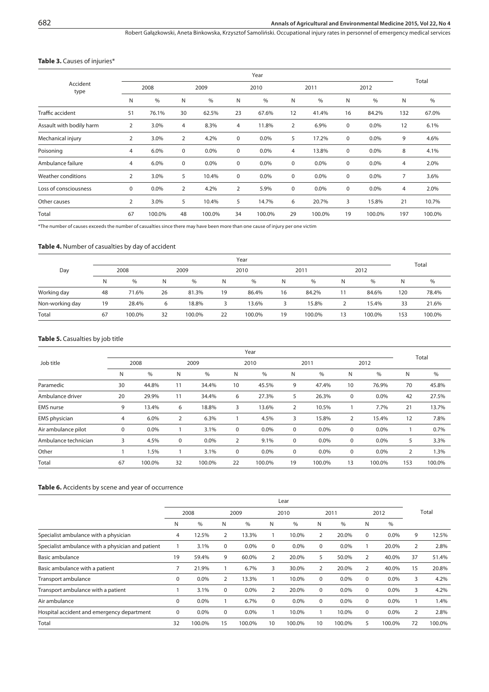#### **Annals of Agricultural and Environmental Medicine 2015, Vol 22, No 4**

Robert Gałązkowski, Aneta Binkowska, Krzysztof Samoliński . Occupational injury rates in personnel of emergency medical services

#### **Table 3.** Causes of injuries\*

|                          |                |        |                | Total   |                |        |             |        |             |        |                |        |
|--------------------------|----------------|--------|----------------|---------|----------------|--------|-------------|--------|-------------|--------|----------------|--------|
| Accident<br>type         | 2008           |        |                | 2009    |                | 2010   |             | 2011   |             | 2012   |                |        |
|                          | N              | $\%$   | N              | $\%$    | N              | $\%$   | N           | $\%$   | Ν           | $\%$   | N              | $\%$   |
| Traffic accident         | 51             | 76.1%  | 30             | 62.5%   | 23             | 67.6%  | 12          | 41.4%  | 16          | 84.2%  | 132            | 67.0%  |
| Assault with bodily harm | 2              | 3.0%   | 4              | 8.3%    | 4              | 11.8%  | 2           | 6.9%   | 0           | 0.0%   | 12             | 6.1%   |
| Mechanical injury        | 2              | 3.0%   | $\overline{2}$ | 4.2%    | $\mathbf 0$    | 0.0%   | 5           | 17.2%  | $\mathbf 0$ | 0.0%   | 9              | 4.6%   |
| Poisoning                | 4              | 6.0%   | 0              | 0.0%    | 0              | 0.0%   | 4           | 13.8%  | 0           | 0.0%   | 8              | 4.1%   |
| Ambulance failure        | 4              | 6.0%   | 0              | $0.0\%$ | 0              | 0.0%   | 0           | 0.0%   | 0           | 0.0%   | $\overline{4}$ | 2.0%   |
| Weather conditions       | $\overline{2}$ | 3.0%   | 5              | 10.4%   | $\mathbf 0$    | 0.0%   | 0           | 0.0%   | 0           | 0.0%   | $\overline{7}$ | 3.6%   |
| Loss of consciousness    | 0              | 0.0%   | 2              | 4.2%    | $\overline{2}$ | 5.9%   | $\mathbf 0$ | 0.0%   | 0           | 0.0%   | 4              | 2.0%   |
| Other causes             | $\overline{2}$ | 3.0%   | 5              | 10.4%   | 5              | 14.7%  | 6           | 20.7%  | 3           | 15.8%  | 21             | 10.7%  |
| Total                    | 67             | 100.0% | 48             | 100.0%  | 34             | 100.0% | 29          | 100.0% | 19          | 100.0% | 197            | 100.0% |

\*The number of causes exceeds the number of casualties since there may have been more than one cause of injury per one victim

#### **Table 4.** Number of casualties by day of accident

|                 |    | Year   |    |        |    |        |    |        |    |        |     |        |  |
|-----------------|----|--------|----|--------|----|--------|----|--------|----|--------|-----|--------|--|
| Day             |    | 2008   |    | 2009   |    | 2010   |    | 2011   |    | 2012   |     | Total  |  |
|                 | N  | $\%$   | N  | $\%$   | N  | $\%$   | N  | $\%$   | N  | %      | N   | %      |  |
| Working day     | 48 | 71.6%  | 26 | 81.3%  | 19 | 86.4%  | 16 | 84.2%  | 11 | 84.6%  | 120 | 78.4%  |  |
| Non-working day | 19 | 28.4%  | 6  | 18.8%  | 3  | 13.6%  | 3  | 15.8%  |    | 15.4%  | 33  | 21.6%  |  |
| Total           | 67 | 100.0% | 32 | 100.0% | 22 | 100.0% | 19 | 100.0% | 13 | 100.0% | 153 | 100.0% |  |

#### **Table 5.** Casualties by job title

| Job title            |    | 2008   |    | 2009    |    | 2010    |    | 2011   |             | 2012   | Total          |        |
|----------------------|----|--------|----|---------|----|---------|----|--------|-------------|--------|----------------|--------|
|                      | N  | $\%$   | N  | $\%$    | N  | %       | Ν  | %      | N           | $\%$   | N              | $\%$   |
| Paramedic            | 30 | 44.8%  | 11 | 34.4%   | 10 | 45.5%   | 9  | 47.4%  | 10          | 76.9%  | 70             | 45.8%  |
| Ambulance driver     | 20 | 29.9%  | 11 | 34.4%   | 6  | 27.3%   | 5  | 26.3%  | $\mathbf 0$ | 0.0%   | 42             | 27.5%  |
| <b>EMS</b> nurse     | 9  | 13.4%  | 6  | 18.8%   | 3  | 13.6%   | 2  | 10.5%  |             | 7.7%   | 21             | 13.7%  |
| EMS physician        | 4  | 6.0%   | 2  | 6.3%    |    | 4.5%    | 3  | 15.8%  | 2           | 15.4%  | 12             | 7.8%   |
| Air ambulance pilot  | 0  | 0.0%   |    | 3.1%    | 0  | $0.0\%$ | 0  | 0.0%   | 0           | 0.0%   |                | 0.7%   |
| Ambulance technician | 3  | 4.5%   | 0  | $0.0\%$ | 2  | 9.1%    | 0  | 0.0%   | $\mathbf 0$ | 0.0%   | 5              | 3.3%   |
| Other                |    | 1.5%   |    | 3.1%    | 0  | $0.0\%$ | 0  | 0.0%   | $\mathbf 0$ | 0.0%   | $\overline{2}$ | 1.3%   |
| Total                | 67 | 100.0% | 32 | 100.0%  | 22 | 100.0%  | 19 | 100.0% | 13          | 100.0% | 153            | 100.0% |

#### **Table 6.** Accidents by scene and year of occurrence

|                                                   |             | Lear   |    |              |    |        |             |        |             |         |       |        |
|---------------------------------------------------|-------------|--------|----|--------------|----|--------|-------------|--------|-------------|---------|-------|--------|
|                                                   |             | 2008   |    | 2009<br>2010 |    |        | 2011        |        |             | 2012    | Total |        |
|                                                   | N           | %      | N  | $\%$         | N  | $\%$   | N           | $\%$   | N           | $\%$    |       |        |
| Specialist ambulance with a physician             | 4           | 12.5%  | 2  | 13.3%        |    | 10.0%  | 2           | 20.0%  | $\mathbf 0$ | 0.0%    | 9     | 12.5%  |
| Specialist ambulance with a physician and patient |             | 3.1%   | 0  | $0.0\%$      | 0  | 0.0%   | $\Omega$    | 0.0%   |             | 20.0%   | 2     | 2.8%   |
| Basic ambulance                                   | 19          | 59.4%  | 9  | 60.0%        | 2  | 20.0%  | 5           | 50.0%  | 2           | 40.0%   | 37    | 51.4%  |
| Basic ambulance with a patient                    |             | 21.9%  |    | 6.7%         | 3  | 30.0%  | 2           | 20.0%  | 2           | 40.0%   | 15    | 20.8%  |
| Transport ambulance                               | 0           | 0.0%   | 2  | 13.3%        |    | 10.0%  | 0           | 0.0%   | $\mathbf 0$ | $0.0\%$ | 3     | 4.2%   |
| Transport ambulance with a patient                |             | 3.1%   | 0  | $0.0\%$      | 2  | 20.0%  | $\Omega$    | 0.0%   | $\mathbf 0$ | 0.0%    | 3     | 4.2%   |
| Air ambulance                                     | 0           | 0.0%   |    | 6.7%         | 0  | 0.0%   | $\mathbf 0$ | 0.0%   | $\mathbf 0$ | 0.0%    |       | 1.4%   |
| Hospital accident and emergency department        | $\mathbf 0$ | 0.0%   | 0  | $0.0\%$      |    | 10.0%  |             | 10.0%  | $\mathbf 0$ | 0.0%    | 2     | 2.8%   |
| Total                                             | 32          | 100.0% | 15 | 100.0%       | 10 | 100.0% | 10          | 100.0% | 5           | 100.0%  | 72    | 100.0% |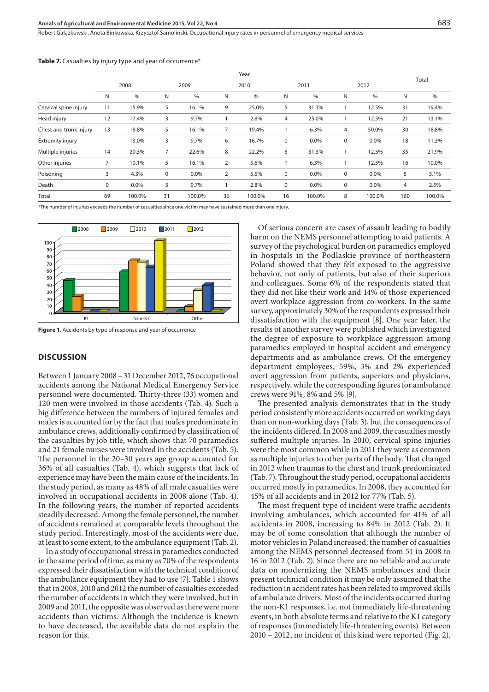Robert Gałązkowski, Aneta Binkowska, Krzysztof Samoliński . Occupational injury rates in personnel of emergency medical services

|  |  |  |  | <b>Table 7.</b> Casualties by injury type and year of occurrence* |  |  |  |  |  |  |  |
|--|--|--|--|-------------------------------------------------------------------|--|--|--|--|--|--|--|
|--|--|--|--|-------------------------------------------------------------------|--|--|--|--|--|--|--|

|                         |    |        | Total       |               |                |        |             |        |   |        |     |        |
|-------------------------|----|--------|-------------|---------------|----------------|--------|-------------|--------|---|--------|-----|--------|
|                         |    | 2008   | 2009        |               | 2010           |        |             | 2011   |   | 2012   |     |        |
|                         | N  | $\%$   | N           | $\frac{0}{0}$ | Ν              | $\%$   | N           | $\%$   | N | $\%$   | N   | $\%$   |
| Cervical spine injury   | 11 | 15.9%  | 5           | 16.1%         | 9              | 25.0%  | 5           | 31.3%  |   | 12.5%  | 31  | 19.4%  |
| Head injury             | 12 | 17.4%  | 3           | 9.7%          |                | 2.8%   | 4           | 25.0%  |   | 12.5%  | 21  | 13.1%  |
| Chest and trunk injury  | 13 | 18.8%  | 5           | 16.1%         | 7              | 19.4%  |             | 6.3%   | 4 | 50.0%  | 30  | 18.8%  |
| <b>Extremity injury</b> |    | 13.0%  | 3           | 9.7%          | 6              | 16.7%  | $\mathbf 0$ | 0.0%   | 0 | 0.0%   | 18  | 11.3%  |
| Multiple injuries       | 14 | 20.3%  | 7           | 22.6%         | 8              | 22.2%  | 5           | 31.3%  |   | 12.5%  | 35  | 21.9%  |
| Other injuries          | 7  | 10.1%  | 5           | 16.1%         | $\overline{2}$ | 5.6%   |             | 6.3%   |   | 12.5%  | 16  | 10.0%  |
| Poisoning               | 3  | 4.3%   | $\mathbf 0$ | 0.0%          | $\overline{2}$ | 5.6%   | $\mathbf 0$ | 0.0%   | 0 | 0.0%   | 5   | 3.1%   |
| Death                   | 0  | 0.0%   | 3           | 9.7%          |                | 2.8%   | 0           | 0.0%   | 0 | 0.0%   | 4   | 2.5%   |
| Total                   | 69 | 100.0% | 31          | 100.0%        | 36             | 100.0% | 16          | 100.0% | 8 | 100.0% | 160 | 100.0% |

\*The number of injuries exceeds the number of casualties since one victim may have sustained more than one injury.



**Figure 1.** Accidents by type of response and year of occurrence

#### **DISCUSSION**

Between 1 January 2008 – 31 December 2012, 76 occupational accidents among the National Medical Emergency Service personnel were documented. Thirty-three (33) women and 120 men were involved in those accidents (Tab. 4). Such a big difference between the numbers of injured females and males is accounted for by the fact that males predominate in ambulance crews, additionally confirmed by classification of the casualties by job title, which shows that 70 paramedics and 21 female nurses were involved in the accidents (Tab. 5). The personnel in the 20–30 years age group accounted for 36% of all casualties (Tab. 4), which suggests that lack of experience may have been the main cause of the incidents. In the study period, as many as 48% of all male casualties were involved in occupational accidents in 2008 alone (Tab. 4). In the following years, the number of reported accidents steadily decreased. Among the female personnel, the number of accidents remained at comparable levels throughout the study period. Interestingly, most of the accidents were due, at least to some extent, to the ambulance equipment (Tab. 2).

In a study of occupational stress in paramedics conducted in the same period of time, as many as 70% of the respondents expressed their dissatisfaction with the technical condition of the ambulance equipment they had to use [7]. Table 1 shows that in 2008, 2010 and 2012 the number of casualties exceeded the number of accidents in which they were involved, but in 2009 and 2011, the opposite was observed as there were more accidents than victims. Although the incidence is known to have decreased, the available data do not explain the reason for this.

Of serious concern are cases of assault leading to bodily harm on the NEMS personnel attempting to aid patients. A survey of the psychological burden on paramedics employed in hospitals in the Podlaskie province of northeastern Poland showed that they felt exposed to the aggressive behavior, not only of patients, but also of their superiors and colleagues. Some 6% of the respondents stated that they did not like their work and 14% of those experienced overt workplace aggression from co-workers. In the same survey, approximately 30% of the respondents expressed their dissatisfaction with the equipment [8]. One year later, the results of another survey were published which investigated the degree of exposure to workplace aggression among paramedics employed in hospital accident and emergency departments and as ambulance crews. Of the emergency department employees, 59%, 3% and 2% experienced overt aggression from patients, superiors and physicians, respectively, while the corresponding figures for ambulance crews were 91%, 8% and 5% [9].

The presented analysis demonstrates that in the study period consistently more accidents occurred on working days than on non-working days (Tab. 3), but the consequences of the incidents differed. In 2008 and 2009, the casualties mostly suffered multiple injuries. In 2010, cervical spine injuries were the most common while in 2011 they were as common as multiple injuries to other parts of the body. That changed in 2012 when traumas to the chest and trunk predominated (Tab. 7). Throughout the study period, occupational accidents occurred mostly in paramedics. In 2008, they accounted for 45% of all accidents and in 2012 for 77% (Tab. 5).

The most frequent type of incident were traffic accidents involving ambulances, which accounted for 41% of all accidents in 2008, increasing to 84% in 2012 (Tab. 2). It may be of some consolation that although the number of motor vehicles in Poland increased, the number of casualties among the NEMS personnel decreased from 51 in 2008 to 16 in 2012 (Tab. 2). Since there are no reliable and accurate data on modernizing the NEMS ambulances and their present technical condition it may be only assumed that the reduction in accident rates has been related to improved skills of ambulance drivers. Most of the incidents occurred during the non-K1 responses, i.e. not immediately life-threatening events, in both absolute terms and relative to the K1 category of responses (immediately life-threatening events). Between 2010 – 2012, no incident of this kind were reported (Fig. 2).